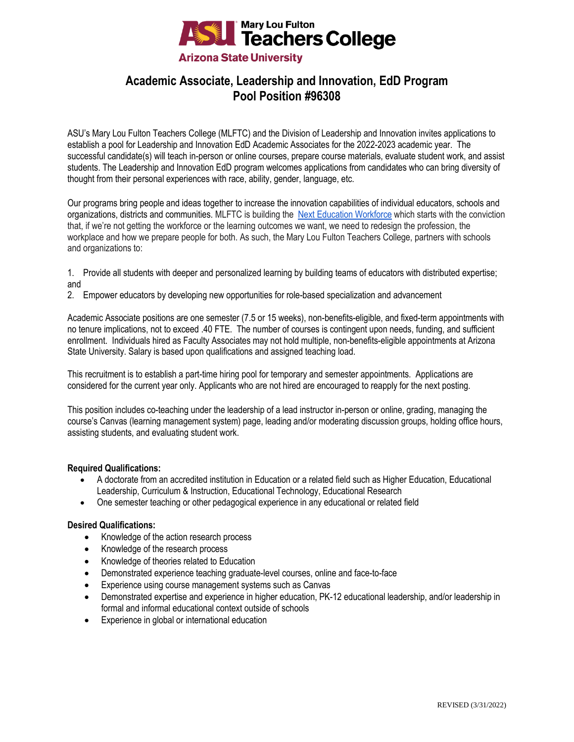

# **Academic Associate, Leadership and Innovation, EdD Program Pool Position #96308**

ASU's Mary Lou Fulton Teachers College (MLFTC) and the Division of Leadership and Innovation invites applications to establish a pool for Leadership and Innovation EdD Academic Associates for the 2022-2023 academic year. The successful candidate(s) will teach in-person or online courses, prepare course materials, evaluate student work, and assist students. The Leadership and Innovation EdD program welcomes applications from candidates who can bring diversity of thought from their personal experiences with race, ability, gender, language, etc.

Our programs bring people and ideas together to increase the innovation capabilities of individual educators, schools and organizations, districts and communities. MLFTC is building the [Next Education Workforce](https://workforce.education.asu.edu/?utm_source=mlftc&utm_medium=redirect&utm_campaign=top_nav) which starts with the conviction that, if we're not getting the workforce or the learning outcomes we want, we need to redesign the profession, the workplace and how we prepare people for both. As such, the Mary Lou Fulton Teachers College, partners with schools and organizations to:

- 1. Provide all students with deeper and personalized learning by building teams of educators with distributed expertise; and
- 2. Empower educators by developing new opportunities for role-based specialization and advancement

Academic Associate positions are one semester (7.5 or 15 weeks), non-benefits-eligible, and fixed-term appointments with no tenure implications, not to exceed .40 FTE. The number of courses is contingent upon needs, funding, and sufficient enrollment. Individuals hired as Faculty Associates may not hold multiple, non-benefits-eligible appointments at Arizona State University. Salary is based upon qualifications and assigned teaching load.

This recruitment is to establish a part-time hiring pool for temporary and semester appointments. Applications are considered for the current year only. Applicants who are not hired are encouraged to reapply for the next posting.

This position includes co-teaching under the leadership of a lead instructor in-person or online, grading, managing the course's Canvas (learning management system) page, leading and/or moderating discussion groups, holding office hours, assisting students, and evaluating student work.

## **Required Qualifications:**

- A doctorate from an accredited institution in Education or a related field such as Higher Education, Educational Leadership, Curriculum & Instruction, Educational Technology, Educational Research
- One semester teaching or other pedagogical experience in any educational or related field

### **Desired Qualifications:**

- Knowledge of the action research process
- Knowledge of the research process
- Knowledge of theories related to Education
- Demonstrated experience teaching graduate-level courses, online and face-to-face
- Experience using course management systems such as Canvas
- Demonstrated expertise and experience in higher education, PK-12 educational leadership, and/or leadership in formal and informal educational context outside of schools
- Experience in global or international education